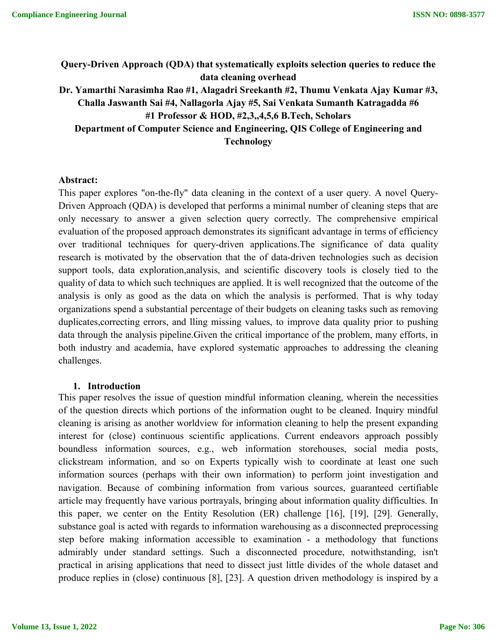**Query-Driven Approach (QDA) that systematically exploits selection queries to reduce the data cleaning overhead**

**Dr. Yamarthi Narasimha Rao #1, Alagadri Sreekanth #2, Thumu Venkata Ajay Kumar #3, Challa Jaswanth Sai #4, Nallagorla Ajay #5, Sai Venkata Sumanth Katragadda #6 #1 Professor & HOD, #2,3,,4,5,6 B.Tech, Scholars Department of Computer Science and Engineering, QIS College of Engineering and** 

**Technology**

#### **Abstract:**

This paper explores "on-the-fly" data cleaning in the context of a user query. A novel Query-Driven Approach (QDA) is developed that performs a minimal number of cleaning steps that are only necessary to answer a given selection query correctly. The comprehensive empirical evaluation of the proposed approach demonstrates its significant advantage in terms of efficiency over traditional techniques for query-driven applications.The significance of data quality research is motivated by the observation that the of data-driven technologies such as decision support tools, data exploration,analysis, and scientific discovery tools is closely tied to the quality of data to which such techniques are applied. It is well recognized that the outcome of the analysis is only as good as the data on which the analysis is performed. That is why today organizations spend a substantial percentage of their budgets on cleaning tasks such as removing duplicates,correcting errors, and lling missing values, to improve data quality prior to pushing data through the analysis pipeline.Given the critical importance of the problem, many efforts, in both industry and academia, have explored systematic approaches to addressing the cleaning challenges.

#### **1. Introduction**

This paper resolves the issue of question mindful information cleaning, wherein the necessities of the question directs which portions of the information ought to be cleaned. Inquiry mindful cleaning is arising as another worldview for information cleaning to help the present expanding interest for (close) continuous scientific applications. Current endeavors approach possibly boundless information sources, e.g., web information storehouses, social media posts, clickstream information, and so on Experts typically wish to coordinate at least one such information sources (perhaps with their own information) to perform joint investigation and navigation. Because of combining information from various sources, guaranteed certifiable article may frequently have various portrayals, bringing about information quality difficulties. In this paper, we center on the Entity Resolution (ER) challenge [16], [19], [29]. Generally, substance goal is acted with regards to information warehousing as a disconnected preprocessing step before making information accessible to examination - a methodology that functions admirably under standard settings. Such a disconnected procedure, notwithstanding, isn't practical in arising applications that need to dissect just little divides of the whole dataset and produce replies in (close) continuous [8], [23]. A question driven methodology is inspired by a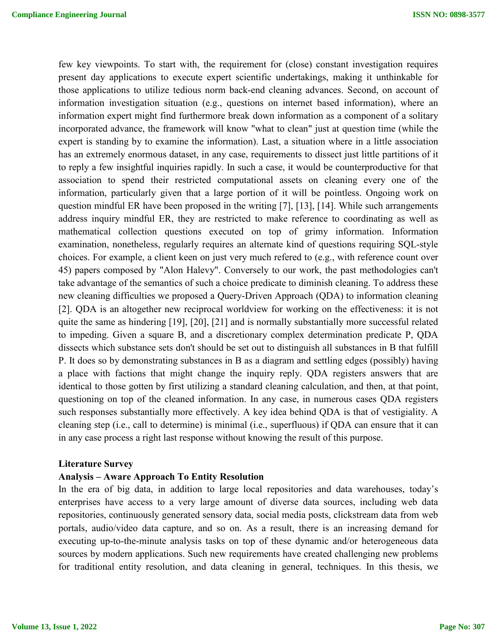few key viewpoints. To start with, the requirement for (close) constant investigation requires present day applications to execute expert scientific undertakings, making it unthinkable for those applications to utilize tedious norm back-end cleaning advances. Second, on account of information investigation situation (e.g., questions on internet based information), where an information expert might find furthermore break down information as a component of a solitary incorporated advance, the framework will know "what to clean" just at question time (while the expert is standing by to examine the information). Last, a situation where in a little association has an extremely enormous dataset, in any case, requirements to dissect just little partitions of it to reply a few insightful inquiries rapidly. In such a case, it would be counterproductive for that association to spend their restricted computational assets on cleaning every one of the information, particularly given that a large portion of it will be pointless. Ongoing work on question mindful ER have been proposed in the writing [7], [13], [14]. While such arrangements address inquiry mindful ER, they are restricted to make reference to coordinating as well as mathematical collection questions executed on top of grimy information. Information examination, nonetheless, regularly requires an alternate kind of questions requiring SQL-style choices. For example, a client keen on just very much refered to (e.g., with reference count over 45) papers composed by "Alon Halevy". Conversely to our work, the past methodologies can't take advantage of the semantics of such a choice predicate to diminish cleaning. To address these new cleaning difficulties we proposed a Query-Driven Approach (QDA) to information cleaning [2]. QDA is an altogether new reciprocal worldview for working on the effectiveness: it is not quite the same as hindering [19], [20], [21] and is normally substantially more successful related to impeding. Given a square B, and a discretionary complex determination predicate P, QDA dissects which substance sets don't should be set out to distinguish all substances in B that fulfill P. It does so by demonstrating substances in B as a diagram and settling edges (possibly) having a place with factions that might change the inquiry reply. QDA registers answers that are identical to those gotten by first utilizing a standard cleaning calculation, and then, at that point, questioning on top of the cleaned information. In any case, in numerous cases QDA registers such responses substantially more effectively. A key idea behind QDA is that of vestigiality. A cleaning step (i.e., call to determine) is minimal (i.e., superfluous) if QDA can ensure that it can in any case process a right last response without knowing the result of this purpose.

## **Literature Survey**

# **Analysis – Aware Approach To Entity Resolution**

In the era of big data, in addition to large local repositories and data warehouses, today's enterprises have access to a very large amount of diverse data sources, including web data repositories, continuously generated sensory data, social media posts, clickstream data from web portals, audio/video data capture, and so on. As a result, there is an increasing demand for executing up-to-the-minute analysis tasks on top of these dynamic and/or heterogeneous data sources by modern applications. Such new requirements have created challenging new problems for traditional entity resolution, and data cleaning in general, techniques. In this thesis, we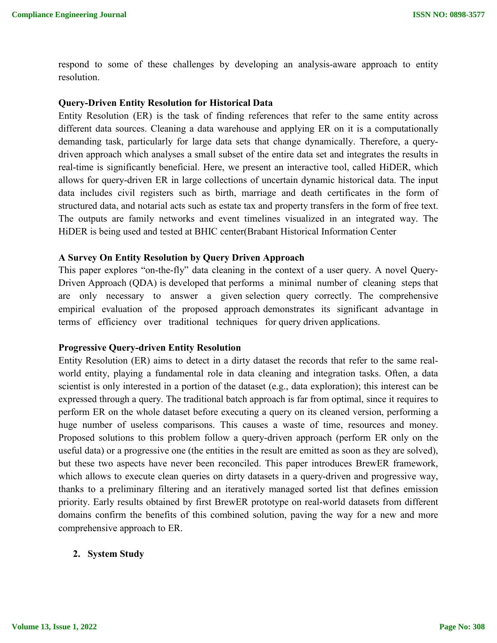respond to some of these challenges by developing an analysis-aware approach to entity resolution.

## **Query-Driven Entity Resolution for Historical Data**

Entity Resolution (ER) is the task of finding references that refer to the same entity across different data sources. Cleaning a data warehouse and applying ER on it is a computationally demanding task, particularly for large data sets that change dynamically. Therefore, a querydriven approach which analyses a small subset of the entire data set and integrates the results in real-time is significantly beneficial. Here, we present an interactive tool, called HiDER, which allows for query-driven ER in large collections of uncertain dynamic historical data. The input data includes civil registers such as birth, marriage and death certificates in the form of structured data, and notarial acts such as estate tax and property transfers in the form of free text. The outputs are family networks and event timelines visualized in an integrated way. The HiDER is being used and tested at BHIC center(Brabant Historical Information Center

#### **A Survey On Entity Resolution by Query Driven Approach**

This paper explores "on-the-fly" data cleaning in the context of a user query. A novel Query-Driven Approach (QDA) is developed that performs a minimal number of cleaning steps that are only necessary to answer a given selection query correctly. The comprehensive empirical evaluation of the proposed approach demonstrates its significant advantage in terms of efficiency over traditional techniques for query driven applications.

# **Progressive Query-driven Entity Resolution**

Entity Resolution (ER) aims to detect in a dirty dataset the records that refer to the same realworld entity, playing a fundamental role in data cleaning and integration tasks. Often, a data scientist is only interested in a portion of the dataset (e.g., data exploration); this interest can be expressed through a query. The traditional batch approach is far from optimal, since it requires to perform ER on the whole dataset before executing a query on its cleaned version, performing a huge number of useless comparisons. This causes a waste of time, resources and money. Proposed solutions to this problem follow a query-driven approach (perform ER only on the useful data) or a progressive one (the entities in the result are emitted as soon as they are solved), but these two aspects have never been reconciled. This paper introduces BrewER framework, which allows to execute clean queries on dirty datasets in a query-driven and progressive way, thanks to a preliminary filtering and an iteratively managed sorted list that defines emission priority. Early results obtained by first BrewER prototype on real-world datasets from different domains confirm the benefits of this combined solution, paving the way for a new and more comprehensive approach to ER.

#### **2. System Study**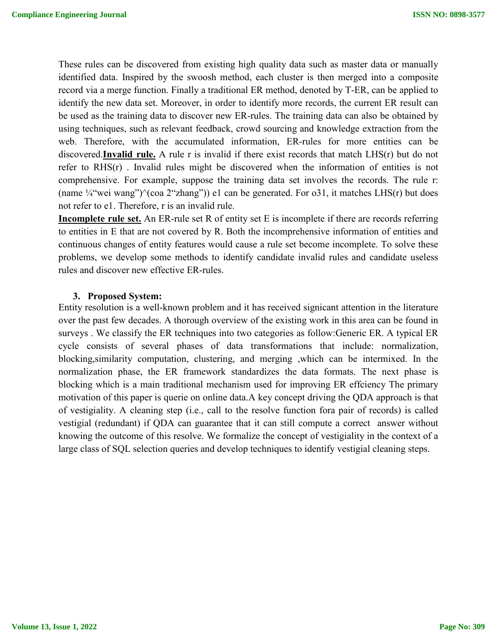These rules can be discovered from existing high quality data such as master data or manually identified data. Inspired by the swoosh method, each cluster is then merged into a composite record via a merge function. Finally a traditional ER method, denoted by T-ER, can be applied to identify the new data set. Moreover, in order to identify more records, the current ER result can be used as the training data to discover new ER-rules. The training data can also be obtained by using techniques, such as relevant feedback, crowd sourcing and knowledge extraction from the web. Therefore, with the accumulated information, ER-rules for more entities can be discovered.**Invalid rule.** A rule r is invalid if there exist records that match LHS(r) but do not refer to RHS(r) . Invalid rules might be discovered when the information of entities is not comprehensive. For example, suppose the training data set involves the records. The rule r: (name  $\frac{1}{4}$ "wei wang") $\circ$ (coa 2"zhang")) e1 can be generated. For o31, it matches LHS(r) but does not refer to e1. Therefore, r is an invalid rule.

**Incomplete rule set.** An ER-rule set R of entity set E is incomplete if there are records referring to entities in E that are not covered by R. Both the incomprehensive information of entities and continuous changes of entity features would cause a rule set become incomplete. To solve these problems, we develop some methods to identify candidate invalid rules and candidate useless rules and discover new effective ER-rules.

# **3. Proposed System:**

Entity resolution is a well-known problem and it has received signicant attention in the literature over the past few decades. A thorough overview of the existing work in this area can be found in surveys . We classify the ER techniques into two categories as follow:Generic ER. A typical ER cycle consists of several phases of data transformations that include: normalization, blocking,similarity computation, clustering, and merging ,which can be intermixed. In the normalization phase, the ER framework standardizes the data formats. The next phase is blocking which is a main traditional mechanism used for improving ER effciency The primary motivation of this paper is querie on online data.A key concept driving the QDA approach is that of vestigiality. A cleaning step (i.e., call to the resolve function fora pair of records) is called vestigial (redundant) if QDA can guarantee that it can still compute a correct answer without knowing the outcome of this resolve. We formalize the concept of vestigiality in the context of a large class of SQL selection queries and develop techniques to identify vestigial cleaning steps.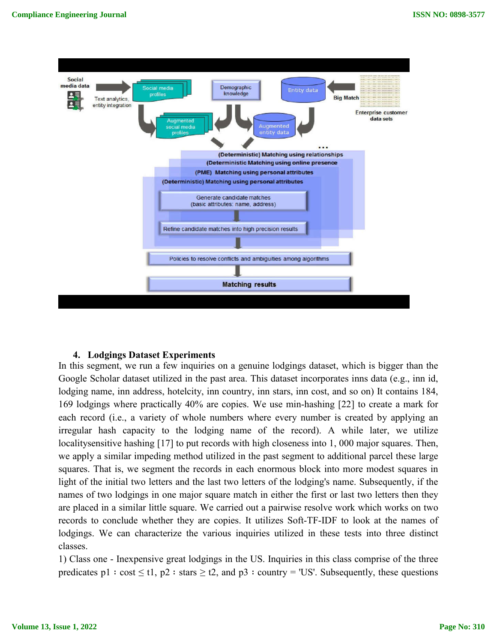

# **4. Lodgings Dataset Experiments**

In this segment, we run a few inquiries on a genuine lodgings dataset, which is bigger than the Google Scholar dataset utilized in the past area. This dataset incorporates inns data (e.g., inn id, lodging name, inn address, hotelcity, inn country, inn stars, inn cost, and so on) It contains 184, 169 lodgings where practically 40% are copies. We use min-hashing [22] to create a mark for each record (i.e., a variety of whole numbers where every number is created by applying an irregular hash capacity to the lodging name of the record). A while later, we utilize localitysensitive hashing [17] to put records with high closeness into 1,000 major squares. Then, we apply a similar impeding method utilized in the past segment to additional parcel these large squares. That is, we segment the records in each enormous block into more modest squares in light of the initial two letters and the last two letters of the lodging's name. Subsequently, if the names of two lodgings in one major square match in either the first or last two letters then they are placed in a similar little square. We carried out a pairwise resolve work which works on two records to conclude whether they are copies. It utilizes Soft-TF-IDF to look at the names of lodgings. We can characterize the various inquiries utilized in these tests into three distinct classes.

1) Class one - Inexpensive great lodgings in the US. Inquiries in this class comprise of the three predicates p1 : cost  $\leq$  t1, p2 : stars  $\geq$  t2, and p3 : country = 'US'. Subsequently, these questions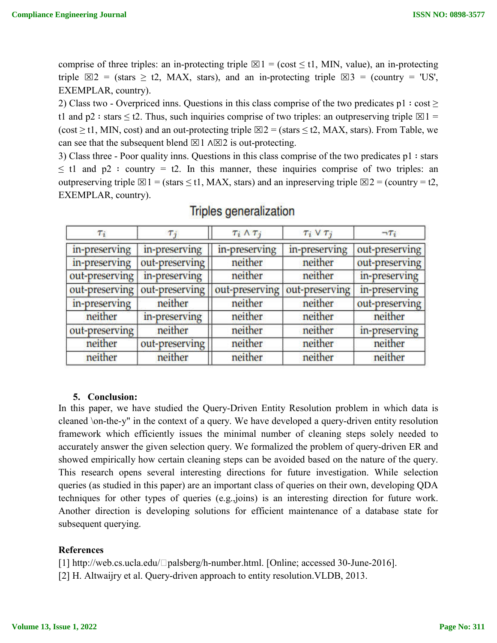comprise of three triples: an in-protecting triple  $\boxtimes 1 = (cost \leq t)$ , MIN, value), an in-protecting triple  $\boxtimes 2 =$  (stars  $\geq$  t2, MAX, stars), and an in-protecting triple  $\boxtimes 3 =$  (country = 'US', EXEMPLAR, country).

2) Class two - Overpriced inns. Questions in this class comprise of the two predicates p1 ∶ cost ≥ t1 and p2 : stars  $\leq$  t2. Thus, such inquiries comprise of two triples: an outpreserving triple  $\boxtimes$  1 = (cost  $\geq$  t1, MIN, cost) and an out-protecting triple  $\boxtimes$  2 = (stars  $\leq$  t2, MAX, stars). From Table, we can see that the subsequent blend  $\boxtimes$ 1 ∧ $\boxtimes$ 2 is out-protecting.

3) Class three - Poor quality inns. Questions in this class comprise of the two predicates p1 ∶ stars  $\leq$  t1 and p2 : country = t2. In this manner, these inquiries comprise of two triples: an outpreserving triple  $\boxtimes 1 =$  (stars  $\leq$  t1, MAX, stars) and an inpreserving triple  $\boxtimes 2 =$  (country = t2, EXEMPLAR, country).

| $T_{\rm 1}$    | $T_{\mathbf{j}}$ | $\tau_i \wedge \tau_j$ | $\tau_i \vee \tau_j$ | $\neg$ Ti      |
|----------------|------------------|------------------------|----------------------|----------------|
| in-preserving  | in-preserving    | in-preserving          | in-preserving        | out-preserving |
| in-preserving  | out-preserving   | neither                | neither              | out-preserving |
| out-preserving | in-preserving    | neither                | neither              | in-preserving  |
| out-preserving | out-preserving   | out-preserving         | out-preserving       | in-preserving  |
| in-preserving  | neither          | neither                | neither              | out-preserving |
| neither        | in-preserving    | neither                | neither              | neither        |
| out-preserving | neither          | neither                | neither              | in-preserving  |
| neither        | out-preserving   | neither                | neither              | neither        |
| neither        | neither          | neither                | neither              | neither        |

# **Triples generalization**

# **5. Conclusion:**

In this paper, we have studied the Query-Driven Entity Resolution problem in which data is cleaned \on-the-y" in the context of a query. We have developed a query-driven entity resolution framework which efficiently issues the minimal number of cleaning steps solely needed to accurately answer the given selection query. We formalized the problem of query-driven ER and showed empirically how certain cleaning steps can be avoided based on the nature of the query. This research opens several interesting directions for future investigation. While selection queries (as studied in this paper) are an important class of queries on their own, developing QDA techniques for other types of queries (e.g.,joins) is an interesting direction for future work. Another direction is developing solutions for efficient maintenance of a database state for subsequent querying.

# **References**

[1] http://web.cs.ucla.edu/ $\Box$ palsberg/h-number.html. [Online; accessed 30-June-2016].

[2] H. Altwaijry et al. Query-driven approach to entity resolution.VLDB, 2013.